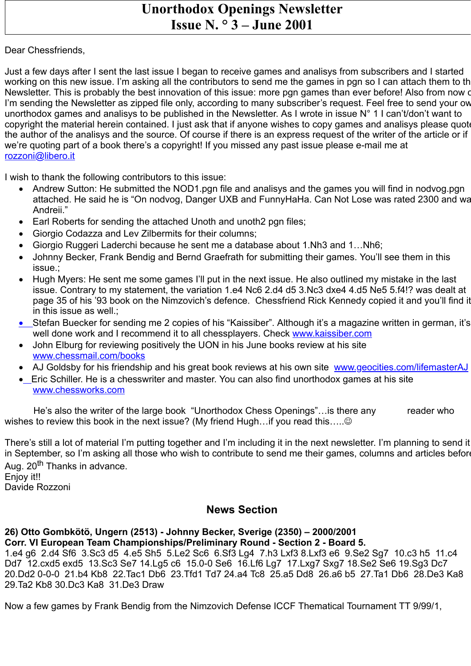## **Unorthodox Openings Newsletter Issue N. ° 3 – June 2001**

## Dear Chessfriends,

Just a few days after I sent the last issue I began to receive games and analisys from subscribers and I started working on this new issue. I'm asking all the contributors to send me the games in pgn so I can attach them to th Newsletter. This is probably the best innovation of this issue: more pan games than ever before! Also from now o I'm sending the Newsletter as zipped file only, according to many subscriber's request. Feel free to send your ow unorthodox games and analisys to be published in the Newsletter. As I wrote in issue N° 1 I can't/don't want to copyright the material herein contained. I just ask that if anyone wishes to copy games and analisys please quot the author of the analisys and the source. Of course if there is an express request of the writer of the article or if we're quoting part of a book there's a copyright! If you missed any past issue please e-mail me at rozzoni@libero.it

I wish to thank the following contributors to this issue:

- Andrew Sutton: He submitted the NOD1.pgn file and analisys and the games you will find in nodvog.pgn attached. He said he is "On nodvog, Danger UXB and FunnyHaHa. Can Not Lose was rated 2300 and wa Andreii."
- Earl Roberts for sending the attached Unoth and unoth 2 pan files:
- Giorgio Codazza and Lev Zilbermits for their columns;
- · Giorgio Ruggeri Laderchi because he sent me a database about 1.Nh3 and 1…Nh6;
- · Johnny Becker, Frank Bendig and Bernd Graefrath for submitting their games. You'll see them in this issue.;
- Hugh Myers: He sent me some games I'll put in the next issue. He also outlined my mistake in the last issue. Contrary to my statement, the variation 1.e4 Nc6 2.d4 d5 3.Nc3 dxe4 4.d5 Ne5 5.f4!? was dealt at page 35 of his '93 book on the Nimzovich's defence. Chessfriend Rick Kennedy copied it and you'll find it in this issue as well.;
- Stefan Buecker for sending me 2 copies of his "Kaissiber". Although it's a magazine written in german, it's well done work and I recommend it to all chessplayers. Check [www.kaissiber.com](http://www.kaissiber.com/)
- · John Elburg for reviewing positively the UON in his June books review at his site www.chessmail.com/books
- AJ Goldsby for his friendship and his great book reviews at his own site www.geocities.com/lifemasterAJ
- Eric Schiller. He is a chesswriter and master. You can also find unorthodox games at his site [www.chessworks.com](http://www.chessworks.com/)

He's also the writer of the large book "Unorthodox Chess Openings"... is there any reader who wishes to review this book in the next issue? (My friend Hugh...if you read this..... $\odot$ 

There's still a lot of material I'm putting together and I'm including it in the next newsletter. I'm planning to send it in September, so I'm asking all those who wish to contribute to send me their games, columns and articles befor Aug. 20<sup>th</sup> Thanks in advance. Enjoy it!! Davide Rozzoni

**News Section**

## **26) Otto Gombkötö, Ungern (2513) - Johnny Becker, Sverige (2350) – 2000/2001 Corr. VI European Team Championships/Preliminary Round - Section 2 - Board 5.**

1.e4 g6 2.d4 Sf6 3.Sc3 d5 4.e5 Sh5 5.Le2 Sc6 6.Sf3 Lg4 7.h3 Lxf3 8.Lxf3 e6 9.Se2 Sg7 10.c3 h5 11.c4 Dd7 12.cxd5 exd5 13.Sc3 Se7 14.Lg5 c6 15.0-0 Se6 16.Lf6 Lg7 17.Lxg7 Sxg7 18.Se2 Se6 19.Sg3 Dc7 20.Dd2 0-0-0 21.b4 Kb8 22.Tac1 Db6 23.Tfd1 Td7 24.a4 Tc8 25.a5 Dd8 26.a6 b5 27.Ta1 Db6 28.De3 Ka8 29.Ta2 Kb8 30.Dc3 Ka8 31.De3 Draw

Now a few games by Frank Bendig from the Nimzovich Defense ICCF Thematical Tournament TT 9/99/1,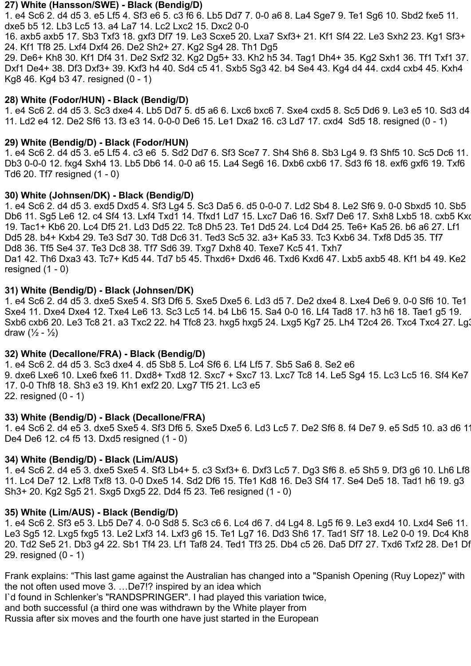#### **27) White (Hansson/SWE) - Black (Bendig/D)**

1. e4 Sc6 2. d4 d5 3. e5 Lf5 4. Sf3 e6 5. c3 f6 6. Lb5 Dd7 7. 0-0 a6 8. La4 Sge7 9. Te1 Sg6 10. Sbd2 fxe5 11. dxe5 b5 12. Lb3 Lc5 13. a4 La7 14. Lc2 Lxc2 15. Dxc2 0-0

16. axb5 axb5 17. Sb3 Txf3 18. gxf3 Df7 19. Le3 Scxe5 20. Lxa7 Sxf3+ 21. Kf1 Sf4 22. Le3 Sxh2 23. Kg1 Sf3+ 24. Kf1 Tf8 25. Lxf4 Dxf4 26. De2 Sh2+ 27. Kg2 Sg4 28. Th1 Dg5

29. De6+ Kh8 30. Kf1 Df4 31. De2 Sxf2 32. Kg2 Dg5+ 33. Kh2 h5 34. Tag1 Dh4+ 35. Kg2 Sxh1 36. Tf1 Txf1 37. Dxf1 De4+ 38. Df3 Dxf3+ 39. Kxf3 h4 40. Sd4 c5 41. Sxb5 Sg3 42. b4 Se4 43. Kg4 d4 44. cxd4 cxb4 45. Kxh4 Kg8 46. Kg4 b3 47. resigned (0 - 1)

#### **28) White (Fodor/HUN) - Black (Bendig/D)**

1. e4 Sc6 2. d4 d5 3. Sc3 dxe4 4. Lb5 Dd7 5. d5 a6 6. Lxc6 bxc6 7. Sxe4 cxd5 8. Sc5 Dd6 9. Le3 e5 10. Sd3 d4 11. Ld2 e4 12. De2 Sf6 13. f3 e3 14. 0-0-0 De6 15. Le1 Dxa2 16. c3 Ld7 17. cxd4 Sd5 18. resigned (0 - 1)

## **29) White (Bendig/D) - Black (Fodor/HUN)**

1. e4 Sc6 2. d4 d5 3. e5 Lf5 4. c3 e6 5. Sd2 Dd7 6. Sf3 Sce7 7. Sh4 Sh6 8. Sb3 Lg4 9. f3 Shf5 10. Sc5 Dc6 11. Db3 0-0-0 12. fxg4 Sxh4 13. Lb5 Db6 14. 0-0 a6 15. La4 Seg6 16. Dxb6 cxb6 17. Sd3 f6 18. exf6 gxf6 19. Txf6 Td6 20. Tf7 resigned (1 - 0)

## **30) White (Johnsen/DK) - Black (Bendig/D)**

1. e4 Sc6 2. d4 d5 3. exd5 Dxd5 4. Sf3 Lg4 5. Sc3 Da5 6. d5 0-0-0 7. Ld2 Sb4 8. Le2 Sf6 9. 0-0 Sbxd5 10. Sb5 Db6 11. Sg5 Le6 12. c4 Sf4 13. Lxf4 Txd1 14. Tfxd1 Ld7 15. Lxc7 Da6 16. Sxf7 De6 17. Sxh8 Lxb5 18. cxb5 Kxc 19. Tac1+ Kb6 20. Lc4 Df5 21. Ld3 Dd5 22. Tc8 Dh5 23. Te1 Dd5 24. Lc4 Dd4 25. Te6+ Ka5 26. b6 a6 27. Lf1 Dd5 28. b4+ Kxb4 29. Te3 Sd7 30. Td8 Dc6 31. Ted3 Sc5 32. a3+ Ka5 33. Tc3 Kxb6 34. Txf8 Dd5 35. Tf7 Dd8 36. Tf5 Se4 37. Te3 Dc8 38. Tf7 Sd6 39. Txg7 Dxh8 40. Texe7 Kc5 41. Txh7 Da1 42. Th6 Dxa3 43. Tc7+ Kd5 44. Td7 b5 45. Thxd6+ Dxd6 46. Txd6 Kxd6 47. Lxb5 axb5 48. Kf1 b4 49. Ke2 resigned  $(1 - 0)$ 

## **31) White (Bendig/D) - Black (Johnsen/DK)**

1. e4 Sc6 2. d4 d5 3. dxe5 Sxe5 4. Sf3 Df6 5. Sxe5 Dxe5 6. Ld3 d5 7. De2 dxe4 8. Lxe4 De6 9. 0-0 Sf6 10. Te1 Sxe4 11. Dxe4 Dxe4 12. Txe4 Le6 13. Sc3 Lc5 14. b4 Lb6 15. Sa4 0-0 16. Lf4 Tad8 17. h3 h6 18. Tae1 g5 19. Sxb6 cxb6 20. Le3 Tc8 21. a3 Txc2 22. h4 Tfc8 23. hxg5 hxg5 24. Lxg5 Kg7 25. Lh4 T2c4 26. Txc4 Txc4 27. Lg3 draw  $(\frac{1}{2} - \frac{1}{2})$ 

#### **32) White (Decallone/FRA) - Black (Bendig/D)**

1. e4 Sc6 2. d4 d5 3. Sc3 dxe4 4. d5 Sb8 5. Lc4 Sf6 6. Lf4 Lf5 7. Sb5 Sa6 8. Se2 e6 9. dxe6 Lxe6 10. Lxe6 fxe6 11. Dxd8+ Txd8 12. Sxc7 + Sxc7 13. Lxc7 Tc8 14. Le5 Sg4 15. Lc3 Lc5 16. Sf4 Ke7 17. 0-0 Thf8 18. Sh3 e3 19. Kh1 exf2 20. Lxg7 Tf5 21. Lc3 e5 22. resigned (0 - 1)

#### **33) White (Bendig/D) - Black (Decallone/FRA)**

1. e4 Sc6 2. d4 e5 3. dxe5 Sxe5 4. Sf3 Df6 5. Sxe5 Dxe5 6. Ld3 Lc5 7. De2 Sf6 8. f4 De7 9. e5 Sd5 10. a3 d6 11 De4 De6 12. c4 f5 13. Dxd5 resigned (1 - 0)

#### **34) White (Bendig/D) - Black (Lim/AUS)**

1. e4 Sc6 2. d4 e5 3. dxe5 Sxe5 4. Sf3 Lb4+ 5. c3 Sxf3+ 6. Dxf3 Lc5 7. Dg3 Sf6 8. e5 Sh5 9. Df3 g6 10. Lh6 Lf8 11. Lc4 De7 12. Lxf8 Txf8 13. 0-0 Dxe5 14. Sd2 Df6 15. Tfe1 Kd8 16. De3 Sf4 17. Se4 De5 18. Tad1 h6 19. g3 Sh3+ 20. Kg2 Sg5 21. Sxg5 Dxg5 22. Dd4 f5 23. Te6 resigned (1 - 0)

#### **35) White (Lim/AUS) - Black (Bendig/D)**

1. e4 Sc6 2. Sf3 e5 3. Lb5 De7 4. 0-0 Sd8 5. Sc3 c6 6. Lc4 d6 7. d4 Lg4 8. Lg5 f6 9. Le3 exd4 10. Lxd4 Se6 11. Le3 Sg5 12. Lxg5 fxg5 13. Le2 Lxf3 14. Lxf3 g6 15. Te1 Lg7 16. Dd3 Sh6 17. Tad1 Sf7 18. Le2 0-0 19. Dc4 Kh8 20. Td2 Se5 21. Db3 g4 22. Sb1 Tf4 23. Lf1 Taf8 24. Ted1 Tf3 25. Db4 c5 26. Da5 Df7 27. Txd6 Txf2 28. De1 Df 29. resigned (0 - 1)

Frank explains: "This last game against the Australian has changed into a "Spanish Opening (Ruy Lopez)" with the not often used move 3. …De7!? inspired by an idea which

I`d found in Schlenker's "RANDSPRINGER". I had played this variation twice,

and both successful (a third one was withdrawn by the White player from

Russia after six moves and the fourth one have just started in the European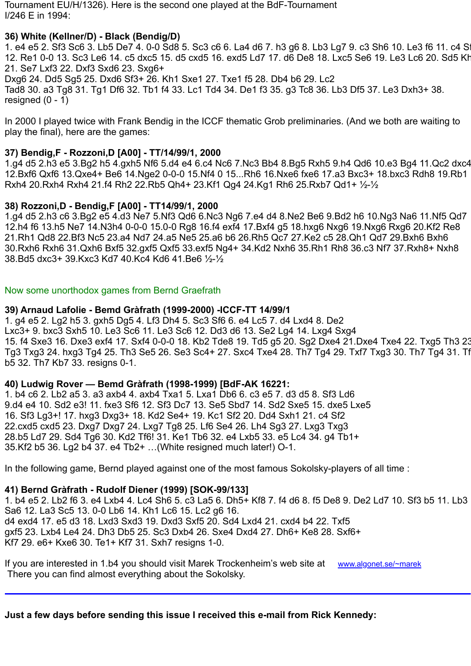Tournament EU/H/1326). Here is the second one played at the BdF-Tournament I/246 E in 1994:

## **36) White (Kellner/D) - Black (Bendig/D)**

1. e4 e5 2. Sf3 Sc6 3. Lb5 De7 4. 0-0 Sd8 5. Sc3 c6 6. La4 d6 7. h3 g6 8. Lb3 Lg7 9. c3 Sh6 10. Le3 f6 11. c4 Sf 12. Re1 0-0 13. Sc3 Le6 14. c5 dxc5 15. d5 cxd5 16. exd5 Ld7 17. d6 De8 18. Lxc5 Se6 19. Le3 Lc6 20. Sd5 Kh 21. Se7 Lxf3 22. Dxf3 Sxd6 23. Sxg6+ Dxg6 24. Dd5 Sg5 25. Dxd6 Sf3+ 26. Kh1 Sxe1 27. Txe1 f5 28. Db4 b6 29. Lc2 Tad8 30. a3 Tg8 31. Tg1 Df6 32. Tb1 f4 33. Lc1 Td4 34. De1 f3 35. g3 Tc8 36. Lb3 Df5 37. Le3 Dxh3+ 38. resigned  $(0 - 1)$ 

In 2000 I played twice with Frank Bendig in the ICCF thematic Grob preliminaries. (And we both are waiting to play the final), here are the games:

## **37) Bendig,F - Rozzoni,D [A00] - TT/14/99/1, 2000**

1.g4 d5 2.h3 e5 3.Bg2 h5 4.gxh5 Nf6 5.d4 e4 6.c4 Nc6 7.Nc3 Bb4 8.Bg5 Rxh5 9.h4 Qd6 10.e3 Bg4 11.Qc2 dxc4 12.Bxf6 Qxf6 13.Qxe4+ Be6 14.Nge2 0-0-0 15.Nf4 0 15...Rh6 16.Nxe6 fxe6 17.a3 Bxc3+ 18.bxc3 Rdh8 19.Rb1 Rxh4 20.Rxh4 Rxh4 21.f4 Rh2 22.Rb5 Qh4+ 23.Kf1 Qg4 24.Kg1 Rh6 25.Rxb7 Qd1+ ½-½

## **38) Rozzoni,D - Bendig,F [A00] - TT14/99/1, 2000**

1.g4 d5 2.h3 c6 3.Bg2 e5 4.d3 Ne7 5.Nf3 Qd6 6.Nc3 Ng6 7.e4 d4 8.Ne2 Be6 9.Bd2 h6 10.Ng3 Na6 11.Nf5 Qd7 12.h4 f6 13.h5 Ne7 14.N3h4 0-0-0 15.0-0 Rg8 16.f4 exf4 17.Bxf4 g5 18.hxg6 Nxg6 19.Nxg6 Rxg6 20.Kf2 Re8 21.Rh1 Qd8 22.Bf3 Nc5 23.a4 Nd7 24.a5 Ne5 25.a6 b6 26.Rh5 Qc7 27.Ke2 c5 28.Qh1 Qd7 29.Bxh6 Bxh6 30.Rxh6 Rxh6 31.Qxh6 Bxf5 32.gxf5 Qxf5 33.exf5 Ng4+ 34.Kd2 Nxh6 35.Rh1 Rh8 36.c3 Nf7 37.Rxh8+ Nxh8 38.Bd5 dxc3+ 39.Kxc3 Kd7 40.Kc4 Kd6 41.Be6 ½-½

## Now some unorthodox games from Bernd Graefrath

## **39) Arnaud Lafolie - Bemd Gràfrath (1999-2000) -ICCF-TT 14/99/1**

1. g4 e5 2. Lg2 h5 3. gxh5 Dg5 4. Lf3 Dh4 5. Sc3 Sf6 6. e4 Lc5 7. d4 Lxd4 8. De2 Lxc3+ 9. bxc3 Sxh5 10. Le3 Sc6 11. Le3 Sc6 12. Dd3 d6 13. Se2 Lg4 14. Lxg4 Sxg4 15. f4 Sxe3 16. Dxe3 exf4 17. Sxf4 0-0-0 18. Kb2 Tde8 19. Td5 g5 20. Sg2 Dxe4 21.Dxe4 Txe4 22. Txg5 Th3 23 Tg3 Txg3 24. hxg3 Tg4 25. Th3 Se5 26. Se3 Sc4+ 27. Sxc4 Txe4 28. Th7 Tg4 29. Txf7 Txg3 30. Th7 Tg4 31. Tf b5 32. Th7 Kb7 33. resigns 0-1.

## **40) Ludwig Rover — Bemd Gràfrath (1998-1999) [BdF-AK 16221:**

1. b4 c6 2. Lb2 a5 3. a3 axb4 4. axb4 Txa1 5. Lxa1 Db6 6. c3 e5 7. d3 d5 8. Sf3 Ld6 9.d4 e4 10. Sd2 e3! 11. fxe3 Sf6 12. Sf3 Dc7 13. Se5 Sbd7 14. Sd2 Sxe5 15. dxe5 Lxe5 16. Sf3 Lg3+! 17. hxg3 Dxg3+ 18. Kd2 Se4+ 19. Kc1 Sf2 20. Dd4 Sxh1 21. c4 Sf2 22.cxd5 cxd5 23. Dxg7 Dxg7 24. Lxg7 Tg8 25. Lf6 Se4 26. Lh4 Sg3 27. Lxg3 Txg3 28.b5 Ld7 29. Sd4 Tg6 30. Kd2 Tf6! 31. Ke1 Tb6 32. e4 Lxb5 33. e5 Lc4 34. g4 Tb1+ 35.Kf2 b5 36. Lg2 b4 37. e4 Tb2+ …(White resigned much later!) O-1.

In the following game, Bernd played against one of the most famous Sokolsky-players of all time :

## **41) Bernd Gràfrath - Rudolf Diener (1999) [SOK-99/133]**

1. b4 e5 2. Lb2 f6 3. e4 Lxb4 4. Lc4 Sh6 5. c3 La5 6. Dh5+ Kf8 7. f4 d6 8. f5 De8 9. De2 Ld7 10. Sf3 b5 11. Lb3 Sa6 12. La3 Sc5 13. 0-0 Lb6 14. Kh1 Lc6 15. Lc2 g6 16. d4 exd4 17. e5 d3 18. Lxd3 Sxd3 19. Dxd3 Sxf5 20. Sd4 Lxd4 21. cxd4 b4 22. Txf5 gxf5 23. Lxb4 Le4 24. Dh3 Db5 25. Sc3 Dxb4 26. Sxe4 Dxd4 27. Dh6+ Ke8 28. Sxf6+ Kf7 29. e6+ Kxe6 30. Te1+ Kf7 31. Sxh7 resigns 1-0.

If you are interested in 1.b4 you should visit Marek Trockenheim's web site at www.algonet.se/~marek There you can find almost everything about the Sokolsky.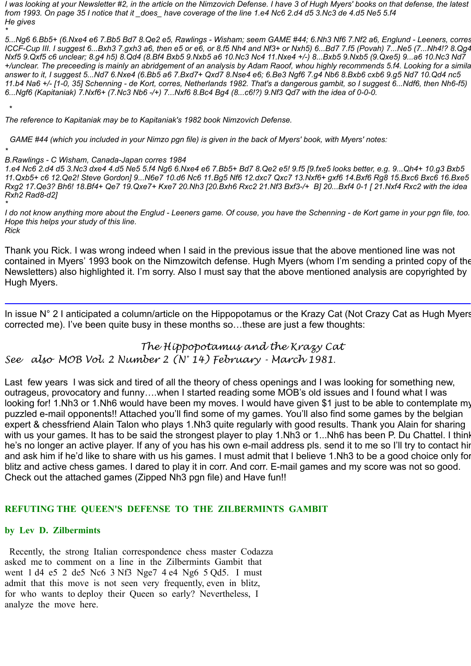I was looking at your Newsletter #2, in the article on the Nimzovich Defense. I have 3 of Hugh Myers' books on that defense, the latest from 1993. On page 35 I notice that it \_does\_ have coverage of the line 1.e4 Nc6 2.d4 d5 3.Nc3 de 4.d5 Ne5 5.f4 *He gives*

*\** 5...Ng6 6.Bb5+ (6.Nxe4 e6 7.Bb5 Bd7 8.Qe2 e5, Rawlings - Wisham; seem GAME #44; 6.Nh3 Nf6 7.Nf2 a6, Englund - Leeners, corres ICCF-Cup III. I suggest 6...Bxh3 7.gxh3 a6, then e5 or e6, or 8.f5 Nh4 and Nf3+ or Nxh5) 6...Bd7 7.f5 (Povah) 7...Ne5 (7...Nh4!? 8.Qg4 Nxf5 9.Qxf5 c6 unclear; 8.q4 h5) 8.Qd4 (8.Bf4 Bxb5 9.Nxb5 a6 10.Nc3 Nc4 11.Nxe4 +/-) 8...Bxb5 9.Nxb5 (9.Qxe5) 9...a6 10.Nc3 Nd7 +/unclear. The preceeding is mainly an abridgement of an analysis by Adam Raoof, whou highly recommends 5.f4. Looking for a simila answer to it, I suggest 5...Nd7 6.Nxe4 (6.Bb5 a6 7.Bxd7+ Qxd7 8.Nse4 e6; 6.Be3 Ngf6 7.g4 Nb6 8.Bxb6 cxb6 9.g5 Nd7 10.Qd4 nc5 11.b4 Na6 +/- [1-0, 35] Schenning - de Kort, corres, Netherlands 1982. That's a dangerous gambit, so I suggest 6...Ndf6, then Nh6-f5) 6...Naf6 (Kapitaniak) 7.Nxf6+ (7.Nc3 Nb6 -/+) 7...Nxf6 8.Bc4 Bg4 (8...c6!?) 9.Nf3 Qd7 with the idea of 0-0-0.

*The reference to Kapitaniak may be to Kapitaniak's 1982 book Nimzovich Defense.*

GAME #44 (which you included in your Nimzo pan file) is given in the back of Myers' book, with Myers' notes:

*\* B.Rawlings - C Wisham, Canada-Japan corres 1984*

*\**

1.e4 Nc6 2.d4 d5 3.Nc3 dxe4 4.d5 Ne5 5.f4 Ng6 6.Nxe4 e6 7.Bb5+ Bd7 8.Qe2 e5! 9.f5 [9.fxe5 looks better, e.g. 9...Qh4+ 10.g3 Bxb5 11.Qxb5+ c6 12.Qe2! Steve Gordon] 9...N6e7 10.d6 Nc6 11.Bg5 Nf6 12.dxc7 Qxc7 13.Nxf6+ gxf6 14.Bxf6 Rg8 15.Bxc6 Bxc6 16.Bxe5 Rxg2 17.Qe3? Bh6! 18.Bf4+ Qe7 19.Qxe7+ Kxe7 20.Nh3 [20.Bxh6 Rxc2 21.Nf3 Bxf3-/+ B] 20...Bxf4 0-1 [21.Nxf4 Rxc2 with the idea *Rxh2 Rad8-d2]*

*\** I do not know anything more about the Englud - Leeners game. Of couse, you have the Schenning - de Kort game in your pgn file, too. *Hope this helps your study of this line. Rick*

Thank you Rick. I was wrong indeed when I said in the previous issue that the above mentioned line was not contained in Myers' 1993 book on the Nimzowitch defense. Hugh Myers (whom I'm sending a printed copy of the Newsletters) also highlighted it. I'm sorry. Also I must say that the above mentioned analysis are copyrighted by Hugh Myers.

In issue N° 2 I anticipated a column/article on the Hippopotamus or the Krazy Cat (Not Crazy Cat as Hugh Myers corrected me). I've been quite busy in these months so…these are just a few thoughts:

*The Hippopotamus and the Krazy Cat See also MOB Vol. 2 Number 2 (N° 14) February - March 1981*.

Last few years I was sick and tired of all the theory of chess openings and I was looking for something new, outrageus, provocatory and funny….when I started reading some MOB's old issues and I found what I was looking for! 1.Nh3 or 1.Nh6 would have been my moves. I would have given \$1 just to be able to contemplate my puzzled e-mail opponents!! Attached you'll find some of my games. You'll also find some games by the belgian expert & chessfriend Alain Talon who plays 1.Nh3 quite regularly with good results. Thank you Alain for sharing with us your games. It has to be said the strongest player to play 1.Nh3 or 1...Nh6 has been P. Du Chattel. I thinl he's no longer an active player. If any of you has his own e-mail address pls. send it to me so I'll try to contact hir and ask him if he'd like to share with us his games. I must admit that I believe 1.Nh3 to be a good choice only for blitz and active chess games. I dared to play it in corr. And corr. E-mail games and my score was not so good. Check out the attached games (Zipped Nh3 pgn file) and Have fun!!

#### **REFUTING THE QUEEN'S DEFENSE TO THE ZILBERMINTS GAMBIT**

#### **by Lev D. Zilbermints**

 Recently, the strong Italian correspondence chess master Codazza asked me to comment on a line in the Zilbermints Gambit that went 1 d4 e5 2 de5 Nc6 3 Nf3 Nge7 4 e4 Ng6 5 Qd5. I must admit that this move is not seen very frequently, even in blitz, for who wants to deploy their Queen so early? Nevertheless, I analyze the move here.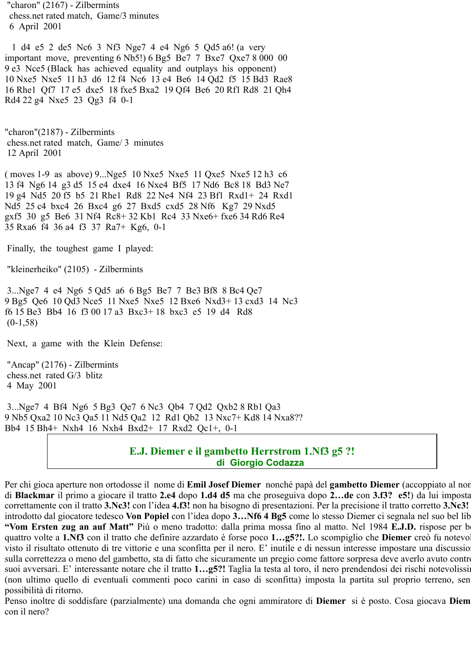"charon" (2167) - Zilbermints chess.net rated match, Game/3 minutes 6 April 2001

 1 d4 e5 2 de5 Nc6 3 Nf3 Nge7 4 e4 Ng6 5 Qd5 a6! (a very important move, preventing 6 Nb5!) 6 Bg5 Be7 7 Bxe7 Qxe7 8 000 00 9 e3 Nce5 (Black has achieved equality and outplays his opponent) 10 Nxe5 Nxe5 11 h3 d6 12 f4 Nc6 13 e4 Be6 14 Qd2 f5 15 Bd3 Rae8 16 Rhe1 Qf7 17 e5 dxe5 18 fxe5 Bxa2 19 Qf4 Be6 20 Rf1 Rd8 21 Qh4 Rd4 22 g4 Nxe5 23 Qg3 f4 0-1

"charon"(2187) - Zilbermints chess.net rated match, Game/ 3 minutes 12 April 2001

( moves 1-9 as above) 9...Nge5 10 Nxe5 Nxe5 11 Qxe5 Nxe5 12 h3 c6 13 f4 Ng6 14 g3 d5 15 e4 dxe4 16 Nxe4 Bf5 17 Nd6 Bc8 18 Bd3 Ne7 19 g4 Nd5 20 f5 b5 21 Rhe1 Rd8 22 Ne4 Nf4 23 Bf1 Rxd1+ 24 Rxd1 Nd5 25 c4 bxc4 26 Bxc4 g6 27 Bxd5 cxd5 28 Nf6 Kg7 29 Nxd5 gxf5 30 g5 Be6 31 Nf4 Rc8+ 32 Kb1 Rc4 33 Nxe6+ fxe6 34 Rd6 Re4 35 Rxa6 f4 36 a4 f3 37 Ra7+ Kg6, 0-1

Finally, the toughest game I played:

"kleinerheiko" (2105) - Zilbermints

 3...Nge7 4 e4 Ng6 5 Qd5 a6 6 Bg5 Be7 7 Be3 Bf8 8 Bc4 Qe7 9 Bg5 Qe6 10 Qd3 Nce5 11 Nxe5 Nxe5 12 Bxe6 Nxd3+ 13 cxd3 14 Nc3 f6 15 Be3 Bb4 16 f3 00 17 a3 Bxc3+ 18 bxc3 e5 19 d4 Rd8  $(0-1,58)$ 

Next, a game with the Klein Defense:

 "Ancap" (2176) - Zilbermints chess.net rated G/3 blitz 4 May 2001

 3...Nge7 4 Bf4 Ng6 5 Bg3 Qe7 6 Nc3 Qb4 7 Qd2 Qxb2 8 Rb1 Qa3 9 Nb5 Qxa2 10 Nc3 Qa5 11 Nd5 Qa2 12 Rd1 Qb2 13 Nxc7+ Kd8 14 Nxa8?? Bb4 15 Bh4+ Nxh4 16 Nxh4 Bxd2+ 17 Rxd2 Qc1+, 0-1

## **E.J. Diemer e il gambetto Herrstrom 1.Nf3 g5 ?! di Giorgio Codazza**

Per chi gioca aperture non ortodosse il nome di **Emil Josef Diemer** nonché papà del **gambetto Diemer** (accoppiato al nor di **Blackmar** il primo a giocare il tratto **2.e4** dopo **1.d4 d5** ma che proseguiva dopo **2…de** con **3.f3? e5!**) da lui imposta correttamente con il tratto **3.Nc3!** con l'idea **4.f3!** non ha bisogno di presentazioni. Per la precisione il tratto corretto **3.Nc3!** introdotto dal giocatore tedesco **Von Popiel** con l'idea dopo **3…Nf6 4 Bg5** come lo stesso Diemer ci segnala nel suo bel lib **"Vom Ersten zug an auf Matt"** Più o meno tradotto: dalla prima mossa fino al matto. Nel 1984 **E.J.D.** rispose per be quattro volte a **1.Nf3** con il tratto che definire azzardato è forse poco **1…g5?!.** Lo scompiglio che **Diemer** creò fu notevol visto il risultato ottenuto di tre vittorie e una sconfitta per il nero. E' inutile e di nessun interesse impostare una discussion sulla correttezza o meno del gambetto, sta di fatto che sicuramente un pregio come fattore sorpresa deve averlo avuto contro suoi avversari. E' interessante notare che il tratto 1...g5?! Taglia la testa al toro, il nero prendendosi dei rischi notevolissi (non ultimo quello di eventuali commenti poco carini in caso di sconfitta) imposta la partita sul proprio terreno, sen possibilità di ritorno.

Penso inoltre di soddisfare (parzialmente) una domanda che ogni ammiratore di **Diemer** si è posto. Cosa giocava **Diem** con il nero?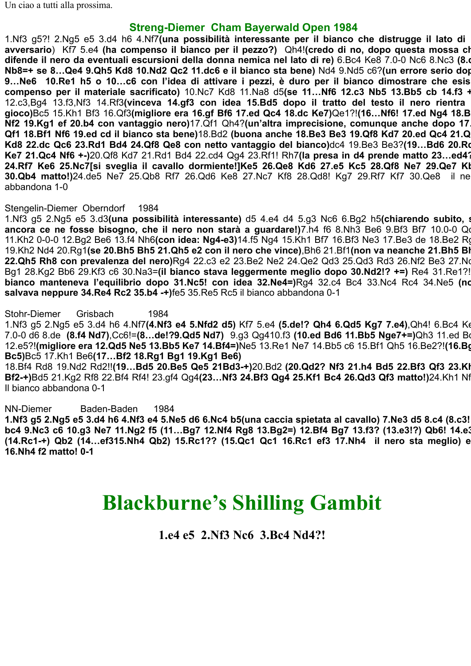Un ciao a tutti alla prossima.

## **Streng-Diemer Cham Bayerwald Open 1984**

1.Nf3 g5?! 2.Ng5 e5 3.d4 h6 4.Nf7**(una possibilità interessante per il bianco che distrugge il lato di avversario**) Kf7 5.e4 **(ha compenso il bianco per il pezzo?)** Qh4!**(credo di no, dopo questa mossa ch difende il nero da eventuali escursioni della donna nemica nel lato di re)** 6.Bc4 Ke8 7.0-0 Nc6 8.Nc3 **(8.d Nb8=+ se 8…Qe4 9.Qh5 Kd8 10.Nd2 Qc2 11.dc6 e il bianco sta bene)** Nd4 9.Nd5 c6?**(un errore serio dop 9…Ne6 10.Re1 h5 o 10…c6 con l'idea di attivare i pezzi, è duro per il bianco dimostrare che esis compenso per il materiale sacrificato)** 10.Nc7 Kd8 11.Na8 d5**(se 11…Nf6 12.c3 Nb5 13.Bb5 cb 14.f3 +** 12.c3,Bg4 13.f3,Nf3 14.Rf3**(vinceva 14.gf3 con idea 15.Bd5 dopo il tratto del testo il nero rientra gioco)**Bc5 15.Kh1 Bf3 16.Qf3**(migliore era 16.gf Bf6 17.ed Qc4 18.dc Ke7)**Qe1?!**(16…Nf6! 17.ed Ng4 18.B Nf2 19.Kg1 ef 20.b4 con vantaggio nero)**17.Qf1 Qh4?**(un'altra imprecisione, comunque anche dopo 17… Qf1 18.Bf1 Nf6 19.ed cd il bianco sta bene)**18.Bd2 **(buona anche 18.Be3 Be3 19.Qf8 Kd7 20.ed Qc4 21.Q Kd8 22.dc Qc6 23.Rd1 Bd4 24.Qf8 Qe8 con netto vantaggio del bianco)**dc4 19.Be3 Be3?**(19…Bd6 20.Rd Ke7 21.Qc4 Nf6 +-)**20.Qf8 Kd7 21.Rd1 Bd4 22.cd4 Qg4 23.Rf1! Rh7**(la presa in d4 prende matto 23…ed4? 24.Rf7 Ke6 25.Nc7[si sveglia il cavallo dormiente!]Ke5 26.Qe8 Kd6 27.e5 Kc5 28.Qf8 Ne7 29.Qe7 Kb 30.Qb4 matto!)**24.de5 Ne7 25.Qb8 Rf7 26.Qd6 Ke8 27.Nc7 Kf8 28.Qd8! Kg7 29.Rf7 Kf7 30.Qe8 il ne abbandona 1-0

#### Stengelin-Diemer Oberndorf 1984

1.Nf3 g5 2.Ng5 e5 3.d3**(una possibilità interessante)** d5 4.e4 d4 5.g3 Nc6 6.Bg2 h5**(chiarendo subito, s ancora ce ne fosse bisogno, che il nero non starà a guardare!)7.h4 f6 8.Nh3 Be6 9.Bf3 Bf7 10.0-0 Qu** 11.Kh2 0-0-0 12.Bg2 Be6 13.f4 Nh6**(con idea: Ng4-e3)**14.f5 Ng4 15.Kh1 Bf7 16.Bf3 Ne3 17.Be3 de 18.Be2 Rg 19.Kh2 Nd4 20.Rg1**(se 20.Bh5 Bh5 21.Qh5 e2 con il nero che vince)**,Bh6 21.Bf1**(non va neanche 21.Bh5 Bh 22.Qh5 Rh8 con prevalenza del nero)**Rg4 22.c3 e2 23.Be2 Ne2 24.Qe2 Qd3 25.Qd3 Rd3 26.Nf2 Be3 27.Nd Bg1 28.Kg2 Bb6 29.Kf3 c6 30.Na3=**(il bianco stava leggermente meglio dopo 30.Nd2!? +=)** Re4 31.Re1?! **bianco manteneva l'equilibrio dopo 31.Nc5! con idea 32.Ne4=)**Rg4 32.c4 Bc4 33.Nc4 Rc4 34.Ne5 **(no salvava neppure 34.Re4 Rc2 35.b4 -+)**fe5 35.Re5 Rc5 il bianco abbandona 0-1

#### Stohr-Diemer Grisbach 1984

1.Nf3 g5 2.Ng5 e5 3.d4 h6 4.Nf7**(4.Nf3 e4 5.Nfd2 d5)** Kf7 5.e4 **(5.de!? Qh4 6.Qd5 Kg7 7.e4)**,Qh4! 6.Bc4 Ke 7.0-0 d6 8.de **(8.f4 Nd7)**,Cc6!=**(8…de!?9.Qd5 Nd7)** 9.g3 Qg410.f3 **(10.ed Bd6 11.Bb5 Nge7+=)**Qh3 11.ed Bd 12.e5?!**(migliore era 12.Qd5 Ne5 13.Bb5 Ke7 14.Bf4=)**Ne5 13.Re1 Ne7 14.Bb5 c6 15.Bf1 Qh5 16.Be2?!**(16.Bg Bc5)**Bc5 17.Kh1 Be6**(17…Bf2 18.Rg1 Bg1 19.Kg1 Be6)**

18.Bf4 Rd8 19.Nd2 Rd2!!**(19…Bd5 20.Be5 Qe5 21Bd3-+)**20.Bd2 **(20.Qd2? Nf3 21.h4 Bd5 22.Bf3 Qf3 23.Kh Bf2-+)**Bd5 21.Kg2 Rf8 22.Bf4 Rf4! 23.gf4 Qg4**(23…Nf3 24.Bf3 Qg4 25.Kf1 Bc4 26.Qd3 Qf3 matto!)**24.Kh1 Nf Il bianco abbandona 0-1

NN-Diemer Baden-Baden 1984

**1.Nf3 g5 2.Ng5 e5 3.d4 h6 4.Nf3 e4 5.Ne5 d6 6.Nc4 b5(una caccia spietata al cavallo) 7.Ne3 d5 8.c4 (8.c3! bc4 9.Nc3 c6 10.g3 Ne7 11.Ng2 f5 (11…Bg7 12.Nf4 Rg8 13.Bg2=) 12.Bf4 Bg7 13.f3? (13.e3!?) Qb6! 14.e3 (14.Rc1-+) Qb2 (14…ef315.Nh4 Qb2) 15.Rc1?? (15.Qc1 Qc1 16.Rc1 ef3 17.Nh4 il nero sta meglio) e 16.Nh4 f2 matto! 0-1**

# **Blackburne's Shilling Gambit**

**1.e4 e5 2.Nf3 Nc6 3.Bc4 Nd4?!**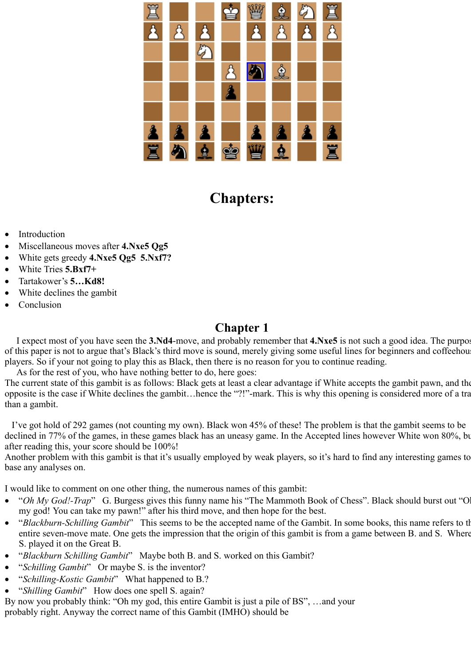

## **Chapters:**

- **Introduction**
- · Miscellaneous moves after **4.Nxe5 Qg5**
- · White gets greedy **4.Nxe5 Qg5 5.Nxf7?**
- · White Tries **5.Bxf7+**
- · Tartakower's **5…Kd8!**
- White declines the gambit
- Conclusion

## **Chapter 1**

 I expect most of you have seen the **3.Nd4**-move, and probably remember that **4.Nxe5** is not such a good idea. The purpos of this paper is not to argue that's Black's third move is sound, merely giving some useful lines for beginners and coffeehous players. So if your not going to play this as Black, then there is no reason for you to continue reading.

As for the rest of you, who have nothing better to do, here goes:

The current state of this gambit is as follows: Black gets at least a clear advantage if White accepts the gambit pawn, and the opposite is the case if White declines the gambit…hence the "?!"-mark. This is why this opening is considered more of a tra than a gambit.

 I've got hold of 292 games (not counting my own). Black won 45% of these! The problem is that the gambit seems to be declined in 77% of the games, in these games black has an uneasy game. In the Accepted lines however White won 80%, bu after reading this, your score should be 100%!

Another problem with this gambit is that it's usually employed by weak players, so it's hard to find any interesting games to base any analyses on.

I would like to comment on one other thing, the numerous names of this gambit:

- "Oh My God!-Trap" G. Burgess gives this funny name his "The Mammoth Book of Chess". Black should burst out "O my god! You can take my pawn!" after his third move, and then hope for the best.
- · "*Blackburn-Schilling Gambit*"This seems to be the accepted name of the Gambit. In some books, this name refers to th entire seven-move mate. One gets the impression that the origin of this gambit is from a game between B. and S. Where S. played it on the Great B.
- · "*Blackburn Schilling Gambit*" Maybe both B. and S. worked on this Gambit?
- · "*Schilling Gambit*" Or maybe S. is the inventor?
- · "*Schilling-Kostic Gambit*" What happened to B.?
- · "*Shilling Gambit*" How does one spell S. again?

By now you probably think: "Oh my god, this entire Gambit is just a pile of BS", …and your probably right. Anyway the correct name of this Gambit (IMHO) should be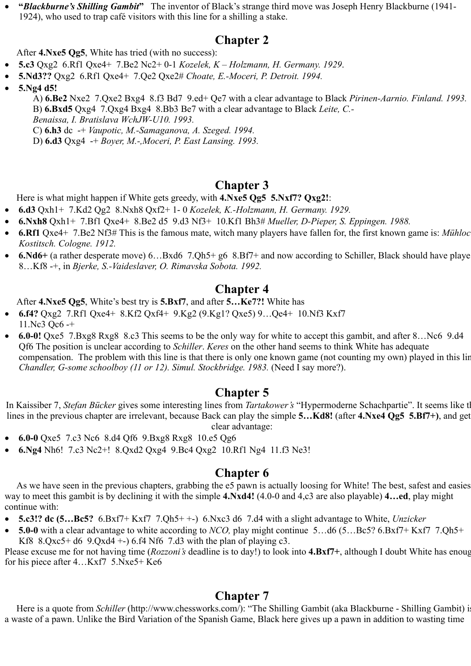· **"***Blackburne's Shilling Gambit***"** The inventor of Black's strange third move was Joseph Henry Blackburne (1941- 1924), who used to trap café visitors with this line for a shilling a stake.

## **Chapter 2**

After **4.Nxe5 Qg5**, White has tried (with no success):

- · **5.c3** Qxg2 6.Rf1 Qxe4+ 7.Be2 Nc2+ 0-1 *Kozelek, K Holzmann, H. Germany. 1929*.
	- · **5.Nd3??** Qxg2 6.Rf1 Qxe4+ 7.Qe2 Qxe2# *Choate, E.-Moceri, P. Detroit. 1994.*
- · **5.Ng4 d5!**

A) **6.Be2** Nxe2 7.Qxe2 Bxg4 8.f3 Bd7 9.ed+ Qe7 with a clear advantage to Black *Pirinen-Aarnio. Finland. 1993.* B) **6.Bxd5** Qxg4 7.Qxg4 Bxg4 8.Bb3 Be7 with a clear advantage to Black *Leite, C.- Benaissa, I. Bratislava WchJW-U10. 1993.* 

C) **6.h3** dc -+ *Vaupotic, M.-Samaganova, A. Szeged. 1994.*

D) **6.d3** Qxg4 -+ *Boyer, M.-,Moceri, P. East Lansing. 1993.*

## **Chapter 3**

Here is what might happen if White gets greedy, with **4.Nxe5 Qg5 5.Nxf7? Qxg2!**:

- · **6.d3** Qxh1+ 7.Kd2 Qg2 8.Nxh8 Qxf2+ 1- 0 *Kozelek, K.-Holzmann, H. Germany. 1929.*
- · **6.Nxh8** Qxh1+ 7.Bf1 Qxe4+ 8.Be2 d5 9.d3 Nf3+ 10.Kf1 Bh3# *Mueller, D-Pieper, S. Eppingen. 1988.*
- · **6.Rf1** Qxe4+ 7.Be2 Nf3# This is the famous mate, witch many players have fallen for, the first known game is: *Mühloc Kostitsch. Cologne. 1912.*
- · **6.Nd6+** (a rather desperate move) 6…Bxd6 7.Qh5+ g6 8.Bf7+ and now according to Schiller, Black should have playe 8…Kf8 -+, in *Bjerke, S.-Vaideslaver, O. Rimavska Sobota. 1992.*

## **Chapter 4**

After **4.Nxe5 Qg5**, White's best try is **5.Bxf7**, and after **5…Ke7?!** White has

- · **6.f4?** Qxg2 7.Rf1 Qxe4+ 8.Kf2 Qxf4+ 9.Kg2 (9.Kg1? Qxe5) 9…Qe4+ 10.Nf3 Kxf7 11.Nc3 Qc6 -+
- · **6.0-0!** Qxe5 7.Bxg8 Rxg8 8.c3 This seems to be the only way for white to accept this gambit, and after 8…Nc69.d4 Qf6 The position is unclear according to *Schiller*. *Keres* on the other hand seems to think White has adequate compensation. The problem with this line is that there is only one known game (not counting my own) played in this lin *Chandler, G-some schoolboy (11 or 12). Simul. Stockbridge. 1983.* (Need I say more?).

## **Chapter 5**

In Kaissiber 7, *Stefan Bücker* gives some interesting lines from *Tartakower's* "Hypermoderne Schachpartie". It seems like th lines in the previous chapter are irrelevant, because Back can play the simple **5…Kd8!** (after **4.Nxe4 Qg5 5.Bf7+)**, and get clear advantage:

- · **6.0-0** Qxe5 7.c3 Nc6 8.d4 Qf6 9.Bxg8 Rxg8 10.e5 Qg6
- · **6.Ng4** Nh6! 7.c3 Nc2+! 8.Qxd2 Qxg4 9.Bc4 Qxg2 10.Rf1 Ng4 11.f3 Ne3!

## **Chapter 6**

 As we have seen in the previous chapters, grabbing the e5 pawn is actually loosing for White! The best, safest and easies way to meet this gambit is by declining it with the simple **4.Nxd4!** (4.0-0 and 4,c3 are also playable) **4…ed**, play might continue with:

- · **5.c3!? dc (5…Bc5?** 6.Bxf7+ Kxf7 7.Qh5+ +-) 6.Nxc3 d6 7.d4 with a slight advantage to White, *Unzicker*
- · **5.0-0** with a clear advantage to white according to *NCO,* play might continue 5…d6 (5…Bc5? 6.Bxf7+ Kxf7 7.Qh5+ Kf8  $8.Qxc5+ d6$  9. $Qxd4 + -$ ) 6.f4 Nf6 7.d3 with the plan of playing c3.

Please excuse me for not having time (*Rozzoni's* deadline is to day!) to look into **4.Bxf7+**, although I doubt White has enoug for his piece after 4…Kxf7 5.Nxe5+ Ke6

## **Chapter 7**

Here is a quote from *Schiller* (http://www.chessworks.com/): "The Shilling Gambit (aka Blackburne - Shilling Gambit) i a waste of a pawn. Unlike the Bird Variation of the Spanish Game, Black here gives up a pawn in addition to wasting time